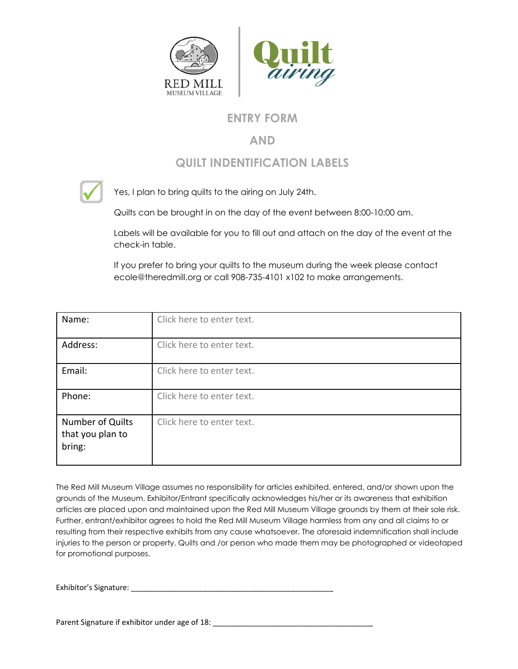

## **ENTRY FORM**

## **AND**

## **QUILT INDENTIFICATION LABELS**



Yes, I plan to bring quilts to the airing on July 24th.

Quilts can be brought in on the day of the event between 8:00-10:00 am.

Labels will be available for you to fill out and attach on the day of the event at the check-in table.

If you prefer to bring your quilts to the museum during the week please contact ecole@theredmill.org or call 908-735-4101 x102 to make arrangements.

| Name:                                          | Click here to enter text. |
|------------------------------------------------|---------------------------|
| Address:                                       | Click here to enter text. |
| Email:                                         | Click here to enter text. |
| Phone:                                         | Click here to enter text. |
| Number of Quilts<br>that you plan to<br>bring: | Click here to enter text. |

The Red Mill Museum Village assumes no responsibility for articles exhibited, entered, and/or shown upon the grounds of the Museum. Exhibitor/Entrant specifically acknowledges his/her or its awareness that exhibition articles are placed upon and maintained upon the Red Mill Museum Village grounds by them at their sole risk. Further, entrant/exhibitor agrees to hold the Red Mill Museum Village harmless from any and all claims to or resulting from their respective exhibits from any cause whatsoever. The aforesaid indemnification shall include injuries to the person or property. Quilts and /or person who made them may be photographed or videotaped for promotional purposes.

Exhibitor's Signature: \_\_\_\_\_\_\_\_\_\_\_\_\_\_\_\_\_\_\_\_\_\_\_\_\_\_\_\_\_\_\_\_\_\_\_\_\_\_\_\_\_\_\_\_\_\_\_\_

Parent Signature if exhibitor under age of 18: \_\_\_\_\_\_\_\_\_\_\_\_\_\_\_\_\_\_\_\_\_\_\_\_\_\_\_\_\_\_\_\_\_